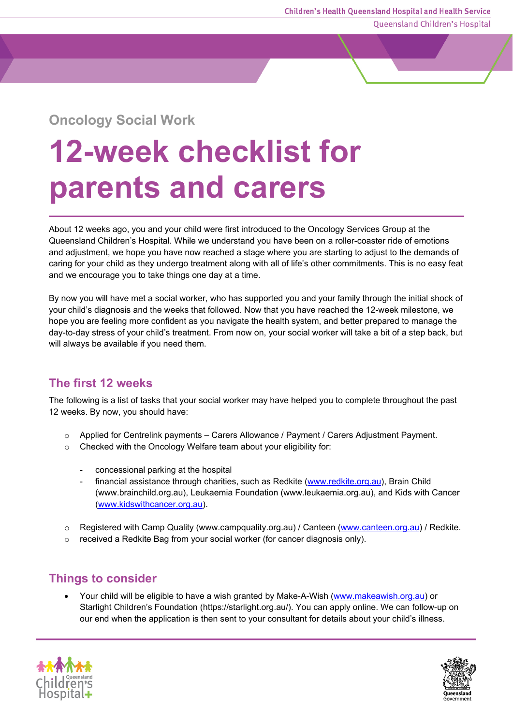Queensland Children's Hospital

## **Oncology Social Work**

# **12-week checklist for parents and carers**

About 12 weeks ago, you and your child were first introduced to the Oncology Services Group at the Queensland Children's Hospital. While we understand you have been on a roller-coaster ride of emotions and adjustment, we hope you have now reached a stage where you are starting to adjust to the demands of caring for your child as they undergo treatment along with all of life's other commitments. This is no easy feat and we encourage you to take things one day at a time.

By now you will have met a social worker, who has supported you and your family through the initial shock of your child's diagnosis and the weeks that followed. Now that you have reached the 12-week milestone, we hope you are feeling more confident as you navigate the health system, and better prepared to manage the day-to-day stress of your child's treatment. From now on, your social worker will take a bit of a step back, but will always be available if you need them.

#### **The first 12 weeks**

The following is a list of tasks that your social worker may have helped you to complete throughout the past 12 weeks. By now, you should have:

- o Applied for Centrelink payments Carers Allowance / Payment / Carers Adjustment Payment.
- o Checked with the Oncology Welfare team about your eligibility for:
	- concessional parking at the hospital
	- financial assistance through charities, such as Redkite [\(www.redkite.org.au\)](file://lcch-lts.chq.health.qld.gov.au/comms_engagement/web-digital-design/fact-sheets/Fact%20sheet%20tier%20samples/www.redkite.org.au), Brain Child (www.brainchild.org.au), Leukaemia Foundation (www.leukaemia.org.au), and Kids with Cancer [\(www.kidswithcancer.org.au\)](file://lcch-lts.chq.health.qld.gov.au/comms_engagement/web-digital-design/fact-sheets/Fact%20sheet%20tier%20samples/www.kidswithcancer.org.au).
- o Registered with Camp Quality (www.campquality.org.au) / Canteen [\(www.canteen.org.au\)](file://lcch-lts.chq.health.qld.gov.au/comms_engagement/web-digital-design/fact-sheets/Fact%20sheet%20tier%20samples/www.canteen.org.au) / Redkite.
- o received a Redkite Bag from your social worker (for cancer diagnosis only).

### **Things to consider**

Your child will be eligible to have a wish granted by Make-A-Wish [\(www.makeawish.org.au\)](https://asana-user-private-us-east-1.s3.amazonaws.com/assets/9536715027185/594392029323069/www.makeawish.org.au) or Starlight Children's Foundation (https://starlight.org.au/). You can apply online. We can follow-up on our end when the application is then sent to your consultant for details about your child's illness.